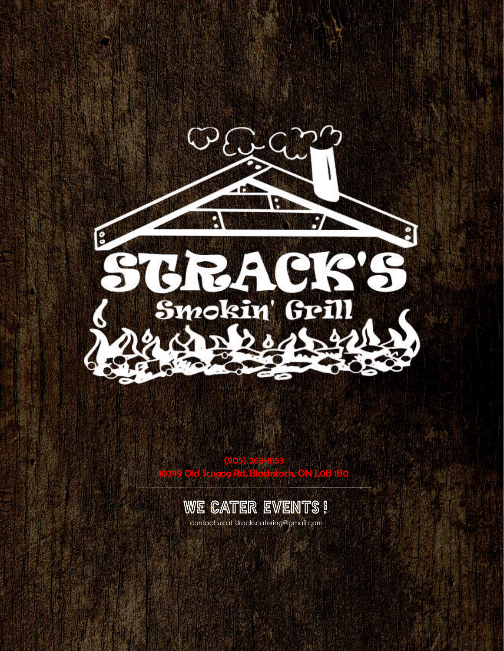

[\(905\) 263-8153](https://www.google.com/search?gs_ssp=eJzj4tVP1zc0zEgqM0rLTjEwYLRSNaiwsEwxNUg1MzA3TU42Nk5JsTKoMLG0SEq0sEgztTA3NzI3M_cSKS4pSkzOLlYozs3PzsxTSC_KzMkBADYnFsg&q=stracks+smokin+grill&rlz=1C1SQJL_enCA873CA874&oq=stracks&aqs=chrome.1.69i57j46j69i59j0l3j69i61l2.2015j1j)  10249 Old Scugog Rd, Blackstock, ON L0B 1B0



contact us at strackscatering@gmail.com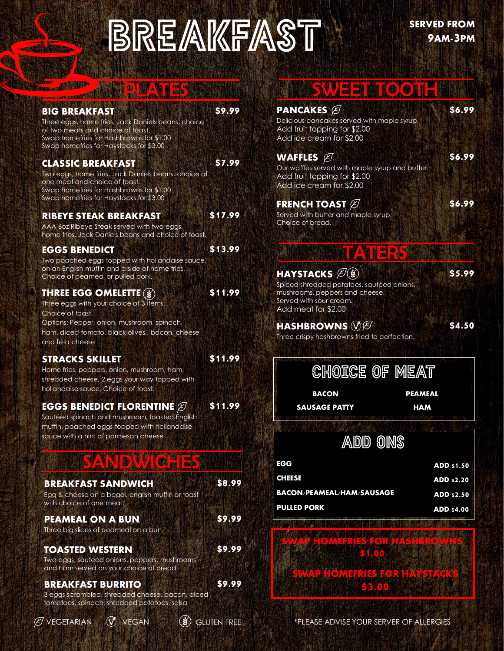# **BREAKFAST**

| <b>BIG BREAKFAST</b><br>Three eggs, home fries, Jack Daniels beans, choice<br>of two meats and choice of toast.<br>Swap homefries for Hashbrowns for \$1.00<br>Swap homefries for Haystacks for \$3.00            | \$9.99  | <b>PANCAKES</b><br>Delicious pancakes served with maple syrup.<br>Add fruit topping for \$2.00<br>Add ice cream for \$2.00                                                                                                  | \$6.99                                        |
|-------------------------------------------------------------------------------------------------------------------------------------------------------------------------------------------------------------------|---------|-----------------------------------------------------------------------------------------------------------------------------------------------------------------------------------------------------------------------------|-----------------------------------------------|
| <b>CLASSIC BREAKFAST</b><br>Two eggs, home fries, Jack Daniels beans, choice of<br>one meat and choice of toast.<br>Swap homefries for Hashbrowns for \$1.00<br>Swap homefries for Haystacks for \$3.00           | \$7.99  | WAFFLES $\varnothing$<br>Our waffles served with maple syrup and butter.<br>Add fruit topping for \$2.00<br>Add ice cream for \$2.00<br><b>FRENCH TOAST <math>\varnothing</math></b>                                        | \$6.99<br>\$6.99                              |
| <b>RIBEYE STEAK BREAKFAST</b><br>AAA 60z Ribeye Steak served with two eggs,<br>home fries, Jack Daniels beans and choice of toast.                                                                                | \$17.99 | Served with butter and maple syrup.<br>Choice of bread.                                                                                                                                                                     |                                               |
| <b>EGGS BENEDICT</b><br>Two poached eggs topped with hollandaise sauce,<br>on an English muffin and a side of home fries.<br>Choice of peameal or pulled pork.                                                    | \$13.99 | <b>ENDIO</b><br><b>HAYSTACKS</b> $\mathscr{B}(s)$                                                                                                                                                                           | \$5.99                                        |
| <b>THREE EGG OMELETTE (\$)</b><br>Three eggs with your choice of 3 items.<br>Choice of toast.<br>Options: Pepper, onion, mushroom, spinach,<br>ham, diced tomato, black olives,, bacon, cheese<br>and feta cheese | \$11.99 | Spiced shredded potatoes, sautéed onions,<br>mushrooms, peppers and cheese.<br>Served with sour cream.<br>Add meat for \$2.00<br><b>HASHBROWNS</b> $\mathcal{V}\mathcal{B}$<br>Three crispy hashbrowns fried to perfection. | \$4.50                                        |
| <b>STRACKS SKILLET</b><br>Home fries, peppers, onion, mushroom, ham,<br>shredded cheese, 2 eggs your way topped with<br>hollandaise sauce. Choice of toast.                                                       | \$11.99 | <b>CHOICE OF MEAT</b><br><b>BACON</b>                                                                                                                                                                                       | <b>PEAMEAL</b>                                |
| <b>EGGS BENEDICT FLORENTINE <math>\varnothing</math></b><br>Sautéed spinach and mushroom, toasted English<br>muffin, poached eggs topped with hollandaise<br>sauce with a hint of parmesan cheese.                | \$11.99 | <b>SAUSAGE PATTY</b>                                                                                                                                                                                                        | <b>HAM</b>                                    |
| <b>IBM</b><br><b>BUT HID</b>                                                                                                                                                                                      |         | <b>EGG</b>                                                                                                                                                                                                                  | <b>ADD \$1.50</b>                             |
| <b>BREAKFAST SANDWICH</b><br>Egg & cheese on a bagel, english muffin or toast<br>with choice of one meat.                                                                                                         | \$8.99  | <b>CHEESE</b><br><b>BACON/PEAMEAL/HAM/SAUSAGE</b><br><b>PULLED PORK</b>                                                                                                                                                     | ADD \$2.20<br>ADD \$2.50<br><b>ADD \$4.00</b> |
| <b>PEAMEAL ON A BUN</b><br>Three big slices of peameal on a bun.                                                                                                                                                  | \$9.99  |                                                                                                                                                                                                                             |                                               |
| <b>TOASTED WESTERN</b><br>Two eggs, sauteed onions, peppers, mushrooms<br>and ham served on your choice of bread.                                                                                                 | \$9.99  | <u>OMERIESTORINGHRO</u><br><b>EXHOO</b>                                                                                                                                                                                     |                                               |

**BREAKFAST BURRITO \$9.99**

3 eggs scrambled, shredded cheese, bacon, diced tomatoes, spinach, shredded potatoes, salsa

*VEGAN* 

 $\mathscr B$  vegetarian  $\mathscr G$  vegan  $\mathscr G$  gluten free

### SWEET MICOTH

| Delicious pancakes served with maple syrup.<br>Add fruit topping for \$2.00<br>Add ice cream for \$2.00                                                    |                                                      |
|------------------------------------------------------------------------------------------------------------------------------------------------------------|------------------------------------------------------|
| WAFFLES $\cancel{\mathcal{C}}$<br>Our waffles served with maple syrup and butter.<br>Add fruit topping for \$2.00<br>Add ice cream for \$2.00              | \$6.99                                               |
| <b>FRENCH TOAST <math>\varnothing</math></b><br>Served with butter and maple syrup.<br>Choice of bread.                                                    | \$6.99                                               |
| <b>HAYSTACKS <i>E</i></b><br>Spiced shredded potatoes, sautéed onions,<br>mushrooms, peppers and cheese.<br>Served with sour cream.<br>Add meat for \$2.00 | \$5.99                                               |
| <b>HASHBROWNS</b> $\mathcal{YB}$<br>Three crispy hashbrowns fried to perfection.                                                                           | \$4.50                                               |
| <b>CHOICE OF MEAT</b>                                                                                                                                      |                                                      |
| BACON<br><b>SAUSAGE PATTY</b>                                                                                                                              | <b>PEAMEAL</b><br><b>HAM</b>                         |
| <b>ADD ONS</b>                                                                                                                                             |                                                      |
| EGG<br><b>CHEESE</b><br><b>BACON/PEAMEAL/HAM/SAUSAGE</b>                                                                                                   | <b>ADD \$1.50</b><br><b>ADD \$2.20</b><br>ADD \$2.50 |
| <b>PULLED PORK</b><br><b>A MEDIMERIESTORE AS FEROMAS</b>                                                                                                   | <b>ADD \$4.00</b>                                    |
| 3400                                                                                                                                                       |                                                      |

\*PLEASE ADVISE YOUR SERVER OF ALLERGIES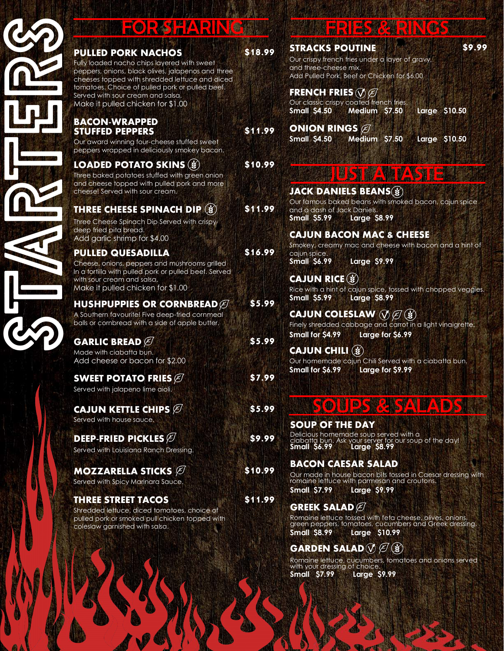| <b>PULLE</b><br><b>Fully loa</b><br>peppers<br>cheeses<br>tomatoe<br>Served v<br>Make it |
|------------------------------------------------------------------------------------------|
| <b>BACO</b><br><b>STUFF</b><br>Our awo<br>peppers                                        |
| <b>LOAD</b><br>Three bo<br>and che<br>cheese!                                            |
| <b>THREE</b><br>Three Ch<br>deep frie<br>Add gc                                          |
| <b>PULLE</b><br>Cheese,<br>In a torti<br>with sour<br>Make it                            |
| <b>HUSH</b><br>A Southe<br>balls or a                                                    |
| <b>GARL</b><br>Made w<br>Add ch                                                          |
| <b>SWEE</b>                                                                              |

**PULLED PORK NACHOS \$18.99** ly loaded nacho chips layered with sweet peppers, onions, black olives, jalapenos and three eeses topped with shredded lettuce and diced natoes. Choice of pulled pork or pulled beef. ved with sour cream and salsa. ake it pulled chicken for \$1.00

### **BACON-WRAPPED STUFFED PEPPERS \$11.99**

r award winning four-cheese stuffed sweet ppers wrapped in deliciously smokey bacon.

### **LOADED POTATO SKINS \$10.99**

ee baked potatoes stuffed with green onion d cheese topped with pulled pork and more eese! Served with sour cream.

### **THREE CHEESE SPINACH DIP \$11.99**

ee Cheese Spinach Dip Served with crispy ep fried pita bread. dd garlic shrimp for \$4.00

### **PULLED QUESADILLA \$16.99**

eese, onions, peppers and mushrooms grilled a tortilla with pulled pork or pulled beef. Served h sour cream and salsa, ake it pulled chicken for \$1.00

#### **HUSHPUPPIES OR CORNBREAD \$5.99** Southern favourite! Five deep-fried cornmeal lls or cornbread with a side of apple butter.

**GARLIC BREAD \$5.99** ade with ciabatta bun. dd cheese or bacon for \$2.00

#### **WEET POTATO FRIES**  $\varnothing$  **\$7.99** Served with jalapeno lime aioli.

**CAJUN KETTLE CHIPS \$5.99** Served with house sauce.

**DEEP-FRIED PICKLES \$9.99** Served with Louisiana Ranch Dressing.

**MOZZARELLA STICKS \$10.99** Served with Spicy Marinara Sauce.

### **THREE STREET TACOS \$11.99**

Shredded lettuce, diced tomatoes, choice of pulled pork or smoked pull chicken topped with coleslaw garnished with salsa.

## FOR SHARING THE RIES RERINGS

### **STRACKS POUTINE \$9.99**

Our crispy french fries under a layer of gravy, and three-cheese mix. Add Pulled Pork, Beef or Chicken for \$6.00

### **FRENCH FRIES**

Our classic crispy coated french fries. **Small \$4.50 Medium \$7.50 Large \$10.50** 

**ONION RINGS Small \$4.50 Medium \$7.50 Large \$10.50** 

### **JUST A TASTE**

### **JACK DANIELS BEANS**

Our famous baked beans with smoked bacon, cajun spice and a dash of Jack Daniels.<br>**Small \$5.99 Large \$ Small \$5.99 Large \$8.99**

### **CAJUN BACON MAC & CHEESE**

Smokey, creamy mac and cheese with bacon and a hint of cajun spice.

**Small \$6.99 Large \$9.99**

### **CAJUN RICE**

Rice with a hint of cajun spice, tossed with chopped veggies.<br>**Small S5.99 Larae S8.99 Large \$8.99** 

### **CAJUN COLESLAW**  $\mathcal{O}(\mathcal{E})$

Finely shredded cabbage and carrot in a light vinaigrette. **Small for \$4.99 Large for \$6.99**

### **CAJUN CHILI**

Our homemade cajun Chili Served with a ciabatta bun. **Small for \$6.99 Large for \$9.99**

### SOUPS & SALADS

### **SOUP OF THE DAY**

Delicious homemade soup served with a ciabatta bun. Ask your server for our soup of the day! **Small \$6.99 Large \$8.99**

### **BACON CAESAR SALAD**

Our made in house bacon bits tossed in Caesar dressing with romaine lettuce with parmesan and croutons. **Small \$7.99 Large \$9.99**

### **GREEK SALAD**

Romaine lettuce tossed with feta cheese, olives, onions, green peppers, tomatoes, cucumbers and Greek dressing. **Small \$8.99 Large \$10.99**

### **GARDEN SALAD**  $\mathcal{V}(\mathcal{E})$

Romaine lettuce, cucumbers, tomatoes and onions served with your dressing of choice. **Small \$7.99 Large \$9.99**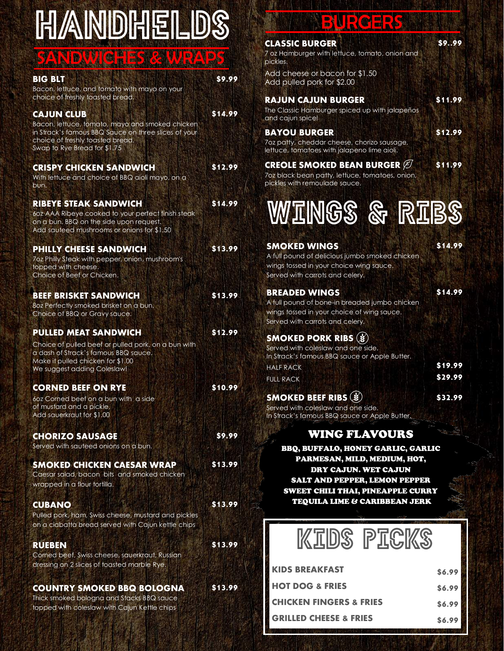# **HANDHELDS**

### SANDWICHES & WRAPS

| <b>BIG BLT</b><br>Bacon, lettuce, and tomato with mayo on your<br>choice of freshly toasted bread.                                                                                               | \$9.99  |
|--------------------------------------------------------------------------------------------------------------------------------------------------------------------------------------------------|---------|
| <b>CAJUN CLUB</b><br>Bacon, lettuce, tomato, mayo and smoked chicken<br>in Strack's famous BBQ Sauce on three slices of your<br>choice of freshly toasted bread.<br>Swap to Rye Bread for \$1.75 | \$14.99 |
| <b>CRISPY CHICKEN SANDWICH</b><br>With lettuce and choice of BBQ aioli mayo, on a<br>bun.                                                                                                        | \$12.99 |
| <b>RIBEYE STEAK SANDWICH</b><br>60z AAA Ribeye cooked to your perfect finish steak<br>on a bun. BBQ on the side upon request.<br>Add sauteed mushrooms or onions for \$1.50                      | \$14.99 |
| <b>PHILLY CHEESE SANDWICH</b><br>7oz Philly Steak with pepper, onion, mushroom's<br>topped with cheese.<br>Choice of Beef or Chicken.                                                            | \$13.99 |
| <b>BEEF BRISKET SANDWICH</b><br>80z Perfectly smoked brisket on a bun.<br>Choice of BBQ or Gravy sauce.                                                                                          | \$13.99 |
| <b>PULLED MEAT SANDWICH</b><br>Choice of pulled beef or pulled pork, on a bun with<br>a dash of Strack's famous BBQ sauce.<br>Make it pulled chicken for \$1.00<br>We suggest adding Coleslaw!   | \$12.99 |
| <b>CORNED BEEF ON RYE</b><br>60z Corned beef on a bun with a side<br>of mustard and a pickle.<br>Add sauerkraut for \$1.00                                                                       | \$10.99 |
| <b>CHORIZO SAUSAGE</b><br>Served with sauteed onions on a bun.                                                                                                                                   | \$9.99  |
| <b>SMOKED CHICKEN CAESAR WRAP</b><br>Caesar salad, bacon bits and smoked chicken<br>wrapped in a flour tortilla.                                                                                 | \$13.99 |
| <b>CUBANO</b><br>Pulled pork, ham, Swiss cheese, mustard and pickles<br>on a ciabatta bread served with Cajun kettle chips                                                                       | \$13.99 |
| <b>RUEBEN</b><br>Corned beef, Swiss cheese, sauerkraut, Russian<br>dressing on 2 slices of toasted marble Rye.                                                                                   | \$13.99 |
| <b>COUNTRY SMOKED BBQ BOLOGNA</b><br>Thick smoked bologna and Stacks BBQ sauce<br>topped with coleslaw with Cajun Kettle chips                                                                   | \$13.99 |

## BURGERS

| <b>CLASSIC BURGER</b><br>7 oz Hamburger with lettuce, tomato, onion and<br>pickles.                                                                                                                                    | \$999              |
|------------------------------------------------------------------------------------------------------------------------------------------------------------------------------------------------------------------------|--------------------|
| Add cheese or bacon for \$1.50<br>Add pulled pork for \$2.00                                                                                                                                                           |                    |
| <b>RAJUN CAJUN BURGER</b><br>The Classic Hamburger spiced up with jalapeños<br>and cajun spice!                                                                                                                        | \$11.99            |
| <b>BAYOU BURGER</b><br>7oz patty, cheddar cheese, chorizo sausage,<br>lettuce, tomatoes with jalapeno lime aioli.                                                                                                      | \$12.99            |
| <b>CREOLE SMOKED BEAN BURGER IS</b><br>7oz black bean patty, lettuce, tomatoes, onion,<br>pickles with remoulade sauce.                                                                                                | \$11.99            |
| WINGS & RIBS                                                                                                                                                                                                           |                    |
| <b>SMOKED WINGS</b><br>A full pound of delicious jumbo smoked chicken<br>wings tossed in your choice wing sauce.<br>Served with carrots and celery.                                                                    | \$14.99            |
| <b>BREADED WINGS</b><br>A full pound of bone-in breaded jumbo chicken<br>wings tossed in your choice of wing sauce.<br>Served with carrots and celery.                                                                 | \$14.99            |
| <b>SMOKED PORK RIBS</b><br>Served with coleslaw and one side.<br>In Strack's famous BBQ sauce or Apple Butter.                                                                                                         |                    |
| <b>HALF RACK</b><br><b>FULL RACK</b>                                                                                                                                                                                   | \$19.99<br>\$29.99 |
| <b>SMOKED BEEF RIBS (\$)</b><br>Served with coleslaw and one side.<br>In Strack's famous BBQ sauce or Apple Butter.                                                                                                    | \$32.99            |
| <b>WING FLAVOURS</b>                                                                                                                                                                                                   |                    |
| <b>BBQ, BUFFALO, HONEY GARLIC, GARLIC</b><br>PARMESAN, MILD, MEDIUM, HOT,<br><b>DRY CAJUN. WET CAJUN</b><br><b>SALT AND PEPPER, LEMON PEPPER</b><br>SWEET CHILI THAI, PINEAPPLE CURRY<br>TEQUILA LIME & CARIBBEAN JERK |                    |
| <b>KIDS PICKS</b>                                                                                                                                                                                                      |                    |

| <b>KIDS BREAKFAST</b>             | \$6.99 |
|-----------------------------------|--------|
| <b>HOT DOG &amp; FRIES</b>        | \$6.99 |
| I CHICKEN FINGERS & FRIES         | \$6.99 |
| <b>GRILLED CHEESE &amp; FRIES</b> | \$6.99 |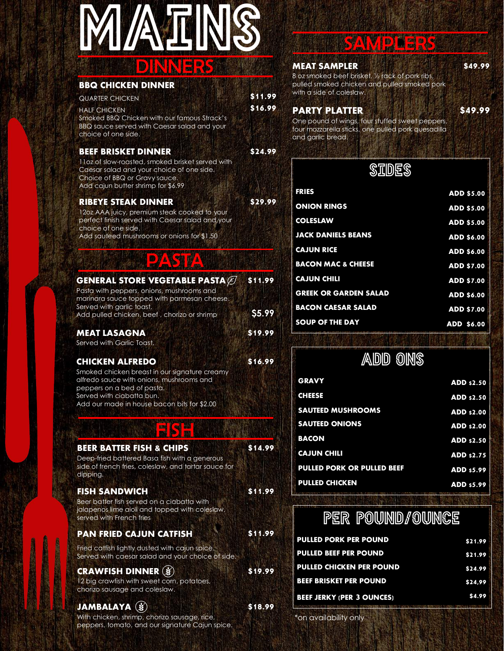# DINNERS **MATIN**

#### **BBQ CHICKEN DINNER**

| <b>QUARTER CHICKEN</b>                                                                                            | \$11.99 |
|-------------------------------------------------------------------------------------------------------------------|---------|
| <b>HALF CHICKEN</b>                                                                                               | \$16.99 |
| Smoked BBQ Chicken with our famous Strack's<br>BBQ sauce served with Caesar salad and your<br>choice of one side. |         |

#### **BEEF BRISKET DINNER \$24.99**

11oz of slow-roasted, smoked brisket served with Caesar salad and your choice of one side. Choice of BBQ or Gravy sauce. Add cajun butter shrimp for \$6.99

#### **RIBEYE STEAK DINNER \$29.99**

12oz AAA juicy, premium steak cooked to your perfect finish served with Caesar salad and your choice of one side. Add sauteed mushrooms or onions for \$1.50

### PASTA

| <b>GENERAL STORE VEGETABLE PASTA <math>\varnothing</math></b>                            | \$11.99 |
|------------------------------------------------------------------------------------------|---------|
| Pasta with peppers, onions, mushrooms and<br>marinara sauce topped with parmesan cheese. |         |
| Served with garlic toast.<br>Add pulled chicken, beef, chorizo or shrimp                 | S5.99   |
| <b>MEAT LASAGNA</b>                                                                      | \$19.99 |
| Served with Garlic Toast.                                                                |         |

Served with Garlic Toast.

#### **CHICKEN ALFREDO \$16.99**

Smoked chicken breast in our signature creamy alfredo sauce with onions, mushrooms and peppers on a bed of pasta. Served with ciabatta bun. Add our made in house bacon bits for \$2.00

### **EISH**

#### **BEER BATTER FISH & CHIPS \$14.99**

Deep-fried battered Basa fish with a generous side of french fries, coleslaw, and tartar sauce for dipping.

#### **FISH SANDWICH \$11.99**

Beer batter fish served on a ciabatta with jalapenos lime aioli and topped with coleslaw, served with French fries

### **PAN FRIED CAJUN CATFISH \$11.99**

Fried catfish lightly dusted with cajun spice. Served with caesar salad and your choice of side.

### **CRAWFISH DINNER \$19.99**

12 big crawfish with sweet corn, potatoes, chorizo sausage and coleslaw.

### **JAMBALAYA \$18.99**

With chicken, shrimp, chorizo sausage, rice, peppers, tomato, and our signature Cajun spice.

### SAMPLERS

#### **MEAT SAMPLER** \$49.99

8 oz smoked beef brisket, ½ rack of pork ribs, pulled smoked chicken and pulled smoked pork with a side of coleslaw.

#### **PARTY PLATTER \$49.99**

One pound of wings, four stuffed sweet peppers, four mozzarella sticks, one pulled pork quesadilla and garlic bread.

### **SIDES**

| FRIES                         | <b>ADD \$5.00</b> |
|-------------------------------|-------------------|
| <b>ONION RINGS</b>            | <b>ADD \$5.00</b> |
| <b>COLESLAW</b>               | <b>ADD \$5.00</b> |
| <b>JACK DANIELS BEANS</b>     | <b>ADD \$6.00</b> |
| <b>CAJUN RICE</b>             | <b>ADD \$6.00</b> |
| <b>BACON MAC &amp; CHEESE</b> | <b>ADD \$7.00</b> |
| <b>CAJUN CHILI</b>            | <b>ADD \$7.00</b> |
| <b>GREEK OR GARDEN SALAD</b>  | <b>ADD \$6.00</b> |
| <b>BACON CAESAR SALAD</b>     | <b>ADD \$7.00</b> |
| <b>SOUP OF THE DAY</b>        | <b>ADD \$6.00</b> |

### **ADD ONS**

| <b>ADD \$2.50</b> |
|-------------------|
| <b>ADD \$2.50</b> |
| <b>ADD \$2.00</b> |
| <b>ADD \$2.00</b> |
| ADD \$2.50        |
| <b>ADD \$2.75</b> |
| <b>ADD \$5.99</b> |
| <b>ADD \$5.99</b> |
|                   |

### **PER POUND/OUNCE**

| \$21.99                                                                                                             |
|---------------------------------------------------------------------------------------------------------------------|
| \$21.99                                                                                                             |
| \$24.99                                                                                                             |
| \$24.99                                                                                                             |
| \$4.99                                                                                                              |
| - SU MATHAMATIK SIYA MONYA MAJI MAREKETI YA YA MARAMO NIME WA MUTU NOJANI NI NDA MAREKETI YA MUTU KWA NA MAREKETI N |

\*on availability only